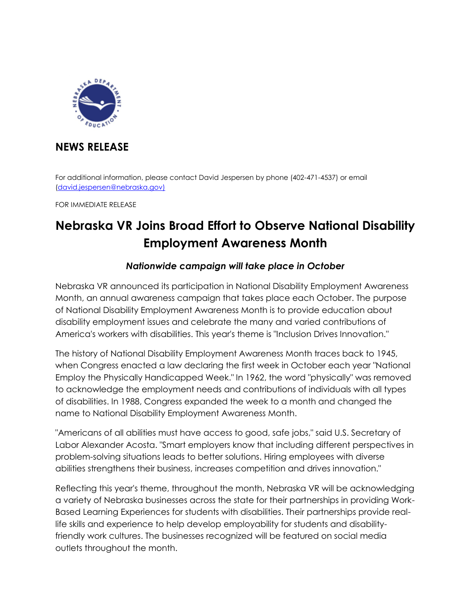

## **NEWS RELEASE**

For additional information, please contact David Jespersen by phone (402-471-4537) or email [\(david.jespersen@nebraska.gov\)](mailto:david.jespersen@nebraska.gov))

FOR IMMEDIATE RELEASE

## **Nebraska VR Joins Broad Effort to Observe National Disability Employment Awareness Month**

## *Nationwide campaign will take place in October*

Nebraska VR announced its participation in National Disability Employment Awareness Month, an annual awareness campaign that takes place each October. The purpose of National Disability Employment Awareness Month is to provide education about disability employment issues and celebrate the many and varied contributions of America's workers with disabilities. This year's theme is "Inclusion Drives Innovation."

The history of National Disability Employment Awareness Month traces back to 1945, when Congress enacted a law declaring the first week in October each year "National Employ the Physically Handicapped Week." In 1962, the word "physically" was removed to acknowledge the employment needs and contributions of individuals with all types of disabilities. In 1988, Congress expanded the week to a month and changed the name to National Disability Employment Awareness Month.

"Americans of all abilities must have access to good, safe jobs," said U.S. Secretary of Labor Alexander Acosta. "Smart employers know that including different perspectives in problem-solving situations leads to better solutions. Hiring employees with diverse abilities strengthens their business, increases competition and drives innovation."

Reflecting this year's theme, throughout the month, Nebraska VR will be acknowledging a variety of Nebraska businesses across the state for their partnerships in providing Work-Based Learning Experiences for students with disabilities. Their partnerships provide reallife skills and experience to help develop employability for students and disabilityfriendly work cultures. The businesses recognized will be featured on social media outlets throughout the month.